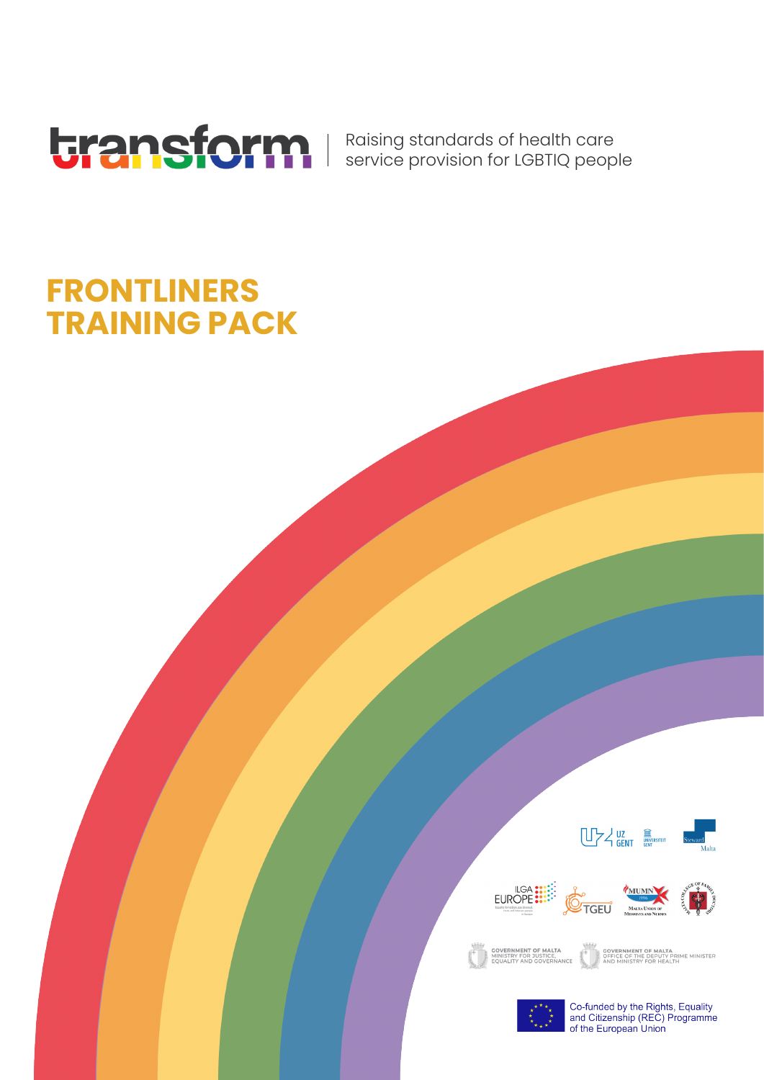

Raising standards of health care service provision for LGBTIQ people

## **FRONTLINERS TRAINING PACK**









EN COVERNMENT OF MALTA

**COVERNMENT OF MALTA<br>OFFICE OF THE DEPUTY PRIME MINISTER**<br>AND MINISTRY FOR HEALTH



Co-funded by the Rights, Equality<br>and Citizenship (REC) Programme of the European Union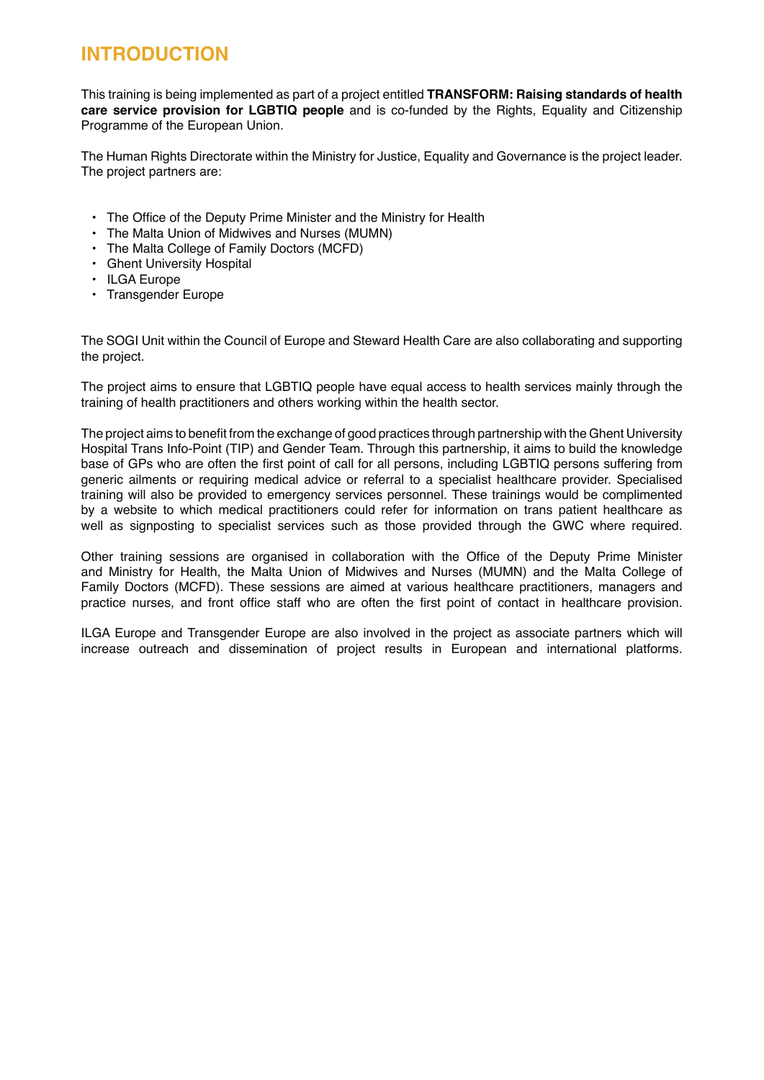#### **INTRODUCTION**

This training is being implemented as part of a project entitled **TRANSFORM: Raising standards of health care service provision for LGBTIQ people** and is co-funded by the Rights, Equality and Citizenship Programme of the European Union.

The Human Rights Directorate within the Ministry for Justice, Equality and Governance is the project leader. The project partners are:

- The Office of the Deputy Prime Minister and the Ministry for Health
- The Malta Union of Midwives and Nurses (MUMN)
- The Malta College of Family Doctors (MCFD)
- Ghent University Hospital
- ILGA Europe
- Transgender Europe

The SOGI Unit within the Council of Europe and Steward Health Care are also collaborating and supporting the project.

The project aims to ensure that LGBTIQ people have equal access to health services mainly through the training of health practitioners and others working within the health sector.

The project aims to benefit from the exchange of good practices through partnership with the Ghent University Hospital Trans Info-Point (TIP) and Gender Team. Through this partnership, it aims to build the knowledge base of GPs who are often the first point of call for all persons, including LGBTIQ persons suffering from generic ailments or requiring medical advice or referral to a specialist healthcare provider. Specialised training will also be provided to emergency services personnel. These trainings would be complimented by a website to which medical practitioners could refer for information on trans patient healthcare as well as signposting to specialist services such as those provided through the GWC where required.

Other training sessions are organised in collaboration with the Office of the Deputy Prime Minister and Ministry for Health, the Malta Union of Midwives and Nurses (MUMN) and the Malta College of Family Doctors (MCFD). These sessions are aimed at various healthcare practitioners, managers and practice nurses, and front office staff who are often the first point of contact in healthcare provision.

ILGA Europe and Transgender Europe are also involved in the project as associate partners which will increase outreach and dissemination of project results in European and international platforms.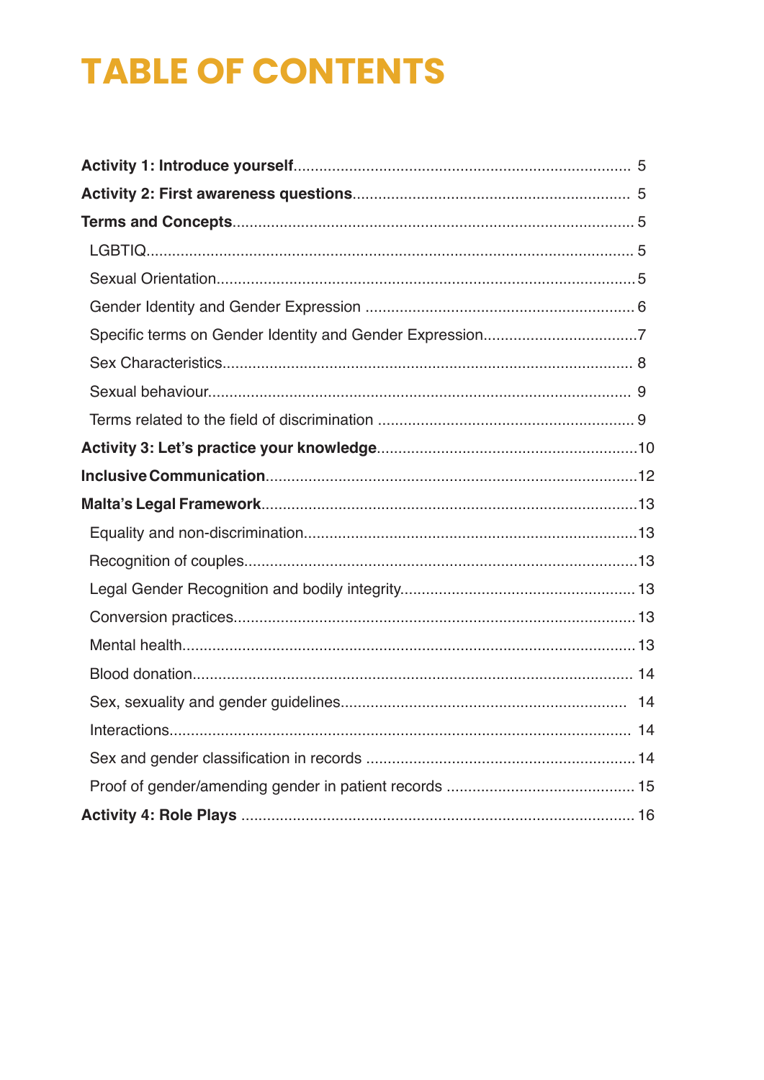# **TABLE OF CONTENTS**

| 14 |
|----|
|    |
|    |
|    |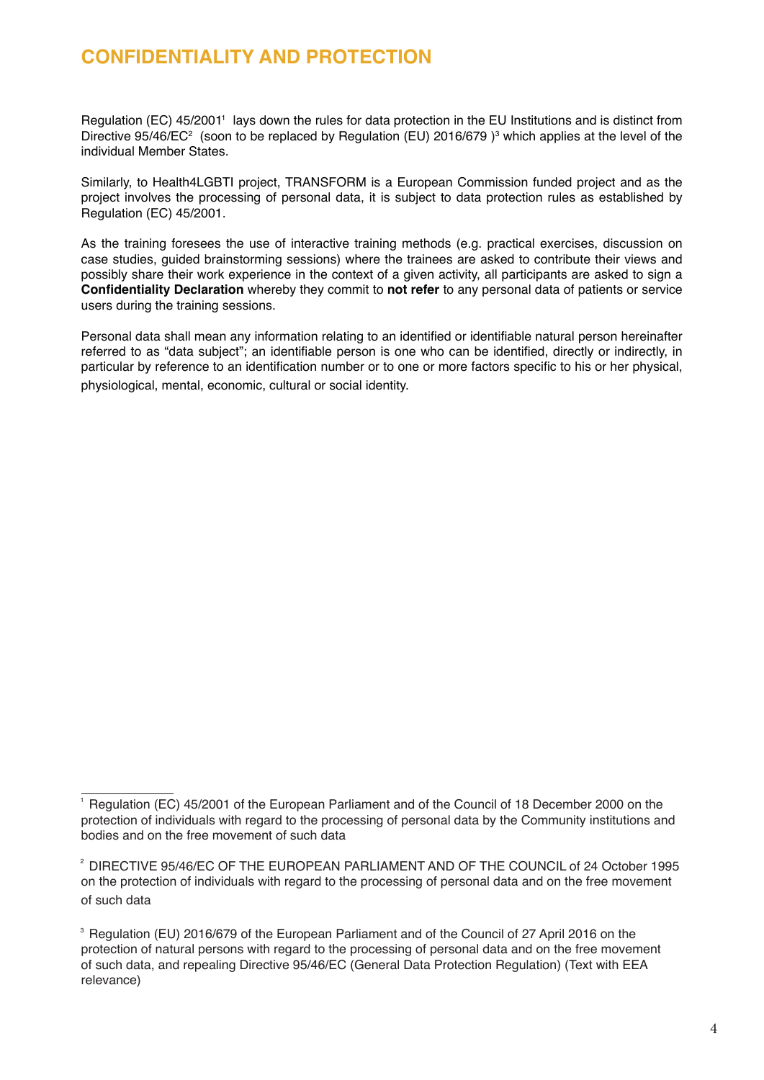#### **CONFIDENTIALITY AND PROTECTION**

Regulation (EC) 45/2001<sup>1</sup> lays down the rules for data protection in the EU Institutions and is distinct from Directive 95/46/EC<sup>2</sup> (soon to be replaced by Regulation (EU) 2016/679 )<sup>3</sup> which applies at the level of the individual Member States.

Similarly, to Health4LGBTI project, TRANSFORM is a European Commission funded project and as the project involves the processing of personal data, it is subject to data protection rules as established by Regulation (EC) 45/2001.

As the training foresees the use of interactive training methods (e.g. practical exercises, discussion on case studies, guided brainstorming sessions) where the trainees are asked to contribute their views and possibly share their work experience in the context of a given activity, all participants are asked to sign a **Confidentiality Declaration** whereby they commit to **not refer** to any personal data of patients or service users during the training sessions.

Personal data shall mean any information relating to an identified or identifiable natural person hereinafter referred to as "data subject"; an identifiable person is one who can be identified, directly or indirectly, in particular by reference to an identification number or to one or more factors specific to his or her physical, physiological, mental, economic, cultural or social identity.

 $1$  Regulation (EC) 45/2001 of the European Parliament and of the Council of 18 December 2000 on the protection of individuals with regard to the processing of personal data by the Community institutions and bodies and on the free movement of such data

 $2$  DIRECTIVE 95/46/EC OF THE EUROPEAN PARLIAMENT AND OF THE COUNCIL of 24 October 1995 on the protection of individuals with regard to the processing of personal data and on the free movement of such data

 $3$  Regulation (EU) 2016/679 of the European Parliament and of the Council of 27 April 2016 on the protection of natural persons with regard to the processing of personal data and on the free movement of such data, and repealing Directive 95/46/EC (General Data Protection Regulation) (Text with EEA relevance)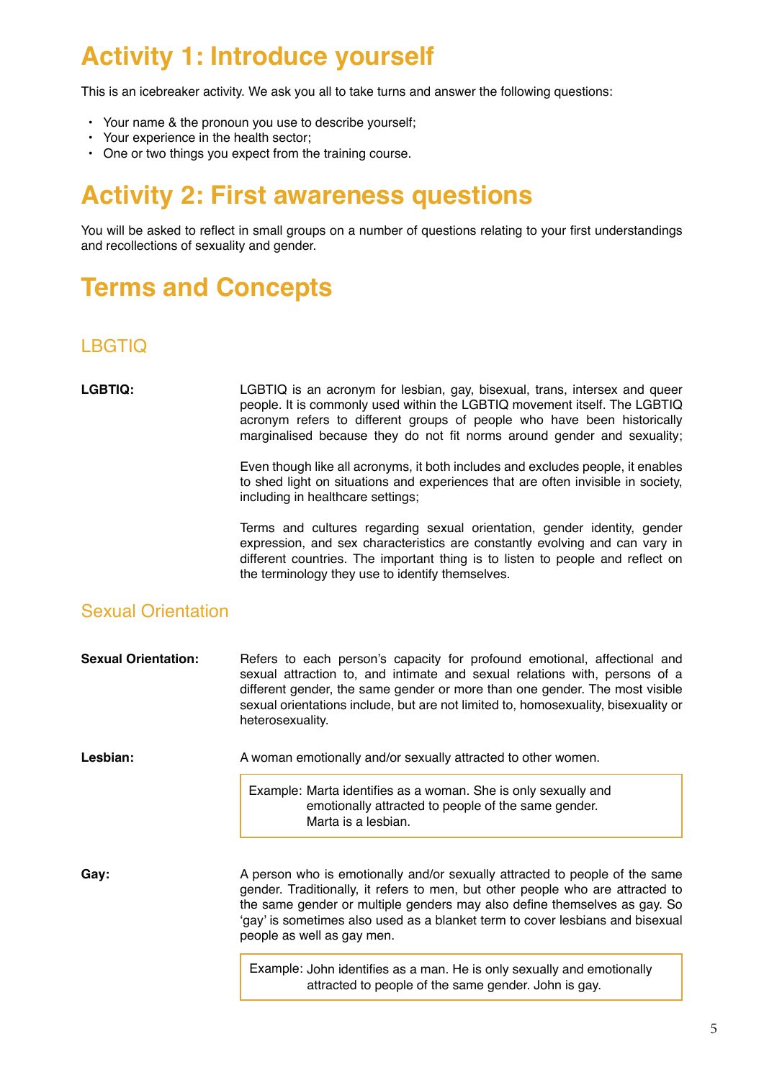### **Activity 1: Introduce yourself**

This is an icebreaker activity. We ask you all to take turns and answer the following questions:

- Your name & the pronoun you use to describe yourself;
- Your experience in the health sector;
- One or two things you expect from the training course.

### **Activity 2: First awareness questions**

You will be asked to reflect in small groups on a number of questions relating to your first understandings and recollections of sexuality and gender.

### **Terms and Concepts**

#### LBGTIQ

LGBTIQ: LGBTIQ is an acronym for lesbian, gay, bisexual, trans, intersex and queer people. It is commonly used within the LGBTIQ movement itself. The LGBTIQ acronym refers to different groups of people who have been historically marginalised because they do not fit norms around gender and sexuality;

> Even though like all acronyms, it both includes and excludes people, it enables to shed light on situations and experiences that are often invisible in society, including in healthcare settings;

> Terms and cultures regarding sexual orientation, gender identity, gender expression, and sex characteristics are constantly evolving and can vary in different countries. The important thing is to listen to people and reflect on the terminology they use to identify themselves.

#### Sexual Orientation

| <b>Sexual Orientation:</b> | Refers to each person's capacity for profound emotional, affectional and<br>sexual attraction to, and intimate and sexual relations with, persons of a<br>different gender, the same gender or more than one gender. The most visible<br>sexual orientations include, but are not limited to, homosexuality, bisexuality or<br>heterosexuality. |
|----------------------------|-------------------------------------------------------------------------------------------------------------------------------------------------------------------------------------------------------------------------------------------------------------------------------------------------------------------------------------------------|
| Lesbian:                   | A woman emotionally and/or sexually attracted to other women.                                                                                                                                                                                                                                                                                   |
|                            | Example: Marta identifies as a woman. She is only sexually and<br>emotionally attracted to people of the same gender.<br>Marta is a lesbian.                                                                                                                                                                                                    |
|                            |                                                                                                                                                                                                                                                                                                                                                 |

Gay: **A** person who is emotionally and/or sexually attracted to people of the same gender. Traditionally, it refers to men, but other people who are attracted to the same gender or multiple genders may also define themselves as gay. So 'gay' is sometimes also used as a blanket term to cover lesbians and bisexual people as well as gay men.

> Example: John identifies as a man. He is only sexually and emotionally attracted to people of the same gender. John is gay.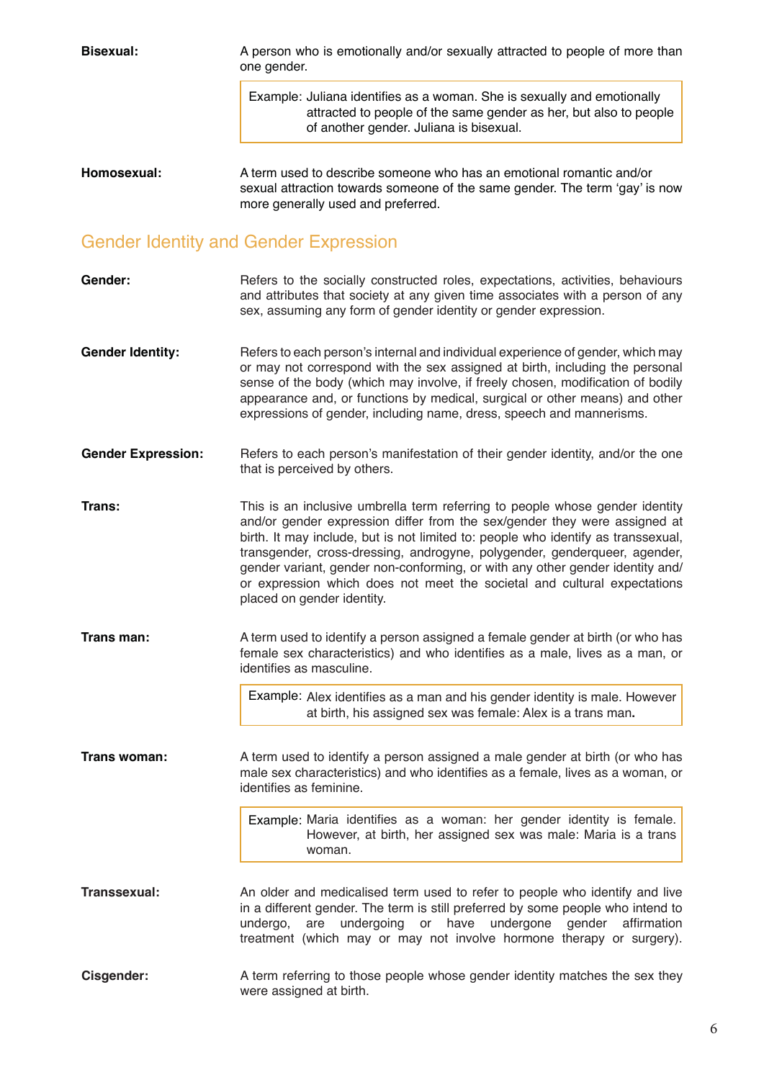**Bisexual:** A person who is emotionally and/or sexually attracted to people of more than one gender. Example: Juliana identifies as a woman. She is sexually and emotionally attracted to people of the same gender as her, but also to people of another gender. Juliana is bisexual. **Homosexual:** A term used to describe someone who has an emotional romantic and/or sexual attraction towards someone of the same gender. The term 'gay' is now

more generally used and preferred.

### Gender Identity and Gender Expression

| Gender:                   | Refers to the socially constructed roles, expectations, activities, behaviours<br>and attributes that society at any given time associates with a person of any<br>sex, assuming any form of gender identity or gender expression.                                                                                                                                                                                                                                                                                     |
|---------------------------|------------------------------------------------------------------------------------------------------------------------------------------------------------------------------------------------------------------------------------------------------------------------------------------------------------------------------------------------------------------------------------------------------------------------------------------------------------------------------------------------------------------------|
| <b>Gender Identity:</b>   | Refers to each person's internal and individual experience of gender, which may<br>or may not correspond with the sex assigned at birth, including the personal<br>sense of the body (which may involve, if freely chosen, modification of bodily<br>appearance and, or functions by medical, surgical or other means) and other<br>expressions of gender, including name, dress, speech and mannerisms.                                                                                                               |
| <b>Gender Expression:</b> | Refers to each person's manifestation of their gender identity, and/or the one<br>that is perceived by others.                                                                                                                                                                                                                                                                                                                                                                                                         |
| Trans:                    | This is an inclusive umbrella term referring to people whose gender identity<br>and/or gender expression differ from the sex/gender they were assigned at<br>birth. It may include, but is not limited to: people who identify as transsexual,<br>transgender, cross-dressing, androgyne, polygender, genderqueer, agender,<br>gender variant, gender non-conforming, or with any other gender identity and/<br>or expression which does not meet the societal and cultural expectations<br>placed on gender identity. |
| Trans man:                | A term used to identify a person assigned a female gender at birth (or who has<br>female sex characteristics) and who identifies as a male, lives as a man, or<br>identifies as masculine.                                                                                                                                                                                                                                                                                                                             |
|                           | Example: Alex identifies as a man and his gender identity is male. However<br>at birth, his assigned sex was female: Alex is a trans man.                                                                                                                                                                                                                                                                                                                                                                              |
| Trans woman:              | A term used to identify a person assigned a male gender at birth (or who has<br>male sex characteristics) and who identifies as a female, lives as a woman, or<br>identifies as feminine.                                                                                                                                                                                                                                                                                                                              |
|                           | Example: Maria identifies as a woman: her gender identity is female.<br>However, at birth, her assigned sex was male: Maria is a trans<br>woman.                                                                                                                                                                                                                                                                                                                                                                       |
| Transsexual:              | An older and medicalised term used to refer to people who identify and live<br>in a different gender. The term is still preferred by some people who intend to<br>are undergoing or have undergone gender affirmation<br>undergo,<br>treatment (which may or may not involve hormone therapy or surgery).                                                                                                                                                                                                              |
| <b>Cisgender:</b>         | A term referring to those people whose gender identity matches the sex they<br>were assigned at birth.                                                                                                                                                                                                                                                                                                                                                                                                                 |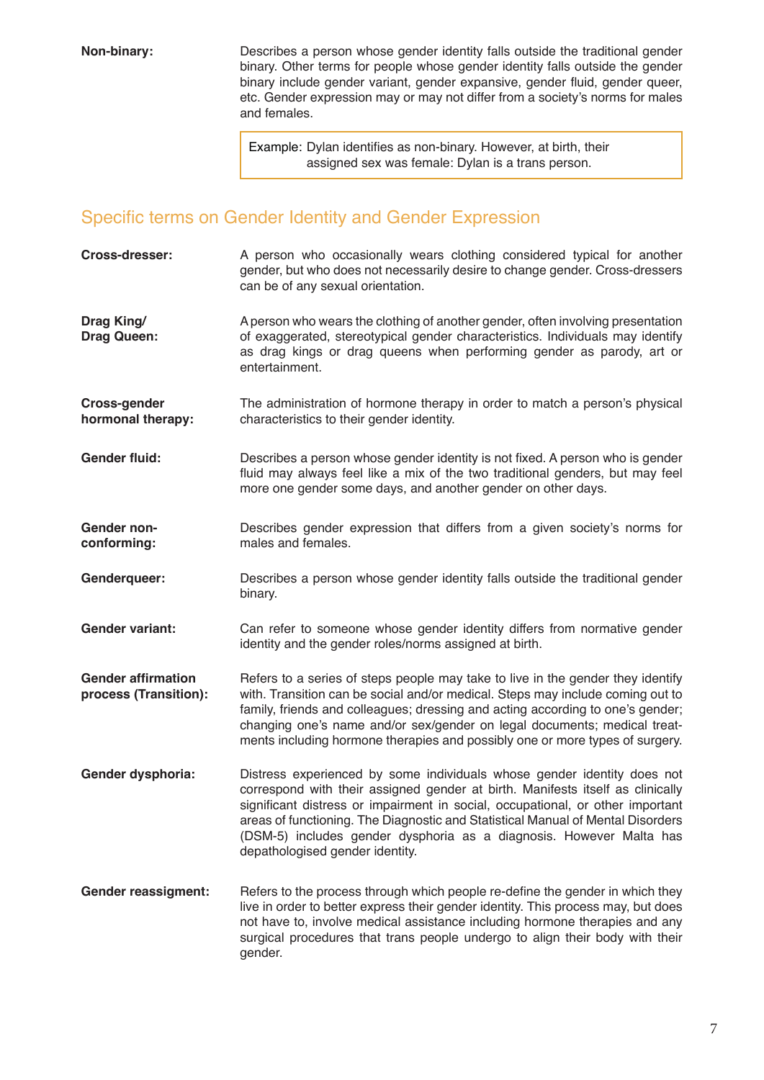**Non-binary:** Describes a person whose gender identity falls outside the traditional gender binary. Other terms for people whose gender identity falls outside the gender binary include gender variant, gender expansive, gender fluid, gender queer, etc. Gender expression may or may not differ from a society's norms for males and females.

> Example: Dylan identifies as non-binary. However, at birth, their assigned sex was female: Dylan is a trans person.

#### Specific terms on Gender Identity and Gender Expression

| Cross-dresser:                                     | A person who occasionally wears clothing considered typical for another<br>gender, but who does not necessarily desire to change gender. Cross-dressers<br>can be of any sexual orientation.                                                                                                                                                                                                                                             |
|----------------------------------------------------|------------------------------------------------------------------------------------------------------------------------------------------------------------------------------------------------------------------------------------------------------------------------------------------------------------------------------------------------------------------------------------------------------------------------------------------|
| Drag King/<br><b>Drag Queen:</b>                   | A person who wears the clothing of another gender, often involving presentation<br>of exaggerated, stereotypical gender characteristics. Individuals may identify<br>as drag kings or drag queens when performing gender as parody, art or<br>entertainment.                                                                                                                                                                             |
| <b>Cross-gender</b><br>hormonal therapy:           | The administration of hormone therapy in order to match a person's physical<br>characteristics to their gender identity.                                                                                                                                                                                                                                                                                                                 |
| <b>Gender fluid:</b>                               | Describes a person whose gender identity is not fixed. A person who is gender<br>fluid may always feel like a mix of the two traditional genders, but may feel<br>more one gender some days, and another gender on other days.                                                                                                                                                                                                           |
| Gender non-<br>conforming:                         | Describes gender expression that differs from a given society's norms for<br>males and females.                                                                                                                                                                                                                                                                                                                                          |
| Genderqueer:                                       | Describes a person whose gender identity falls outside the traditional gender<br>binary.                                                                                                                                                                                                                                                                                                                                                 |
| <b>Gender variant:</b>                             | Can refer to someone whose gender identity differs from normative gender<br>identity and the gender roles/norms assigned at birth.                                                                                                                                                                                                                                                                                                       |
| <b>Gender affirmation</b><br>process (Transition): | Refers to a series of steps people may take to live in the gender they identify<br>with. Transition can be social and/or medical. Steps may include coming out to<br>family, friends and colleagues; dressing and acting according to one's gender;<br>changing one's name and/or sex/gender on legal documents; medical treat-<br>ments including hormone therapies and possibly one or more types of surgery.                          |
| Gender dysphoria:                                  | Distress experienced by some individuals whose gender identity does not<br>correspond with their assigned gender at birth. Manifests itself as clinically<br>significant distress or impairment in social, occupational, or other important<br>areas of functioning. The Diagnostic and Statistical Manual of Mental Disorders<br>(DSM-5) includes gender dysphoria as a diagnosis. However Malta has<br>depathologised gender identity. |
| <b>Gender reassigment:</b>                         | Refers to the process through which people re-define the gender in which they<br>live in order to better express their gender identity. This process may, but does<br>not have to, involve medical assistance including hormone therapies and any<br>surgical procedures that trans people undergo to align their body with their<br>gender.                                                                                             |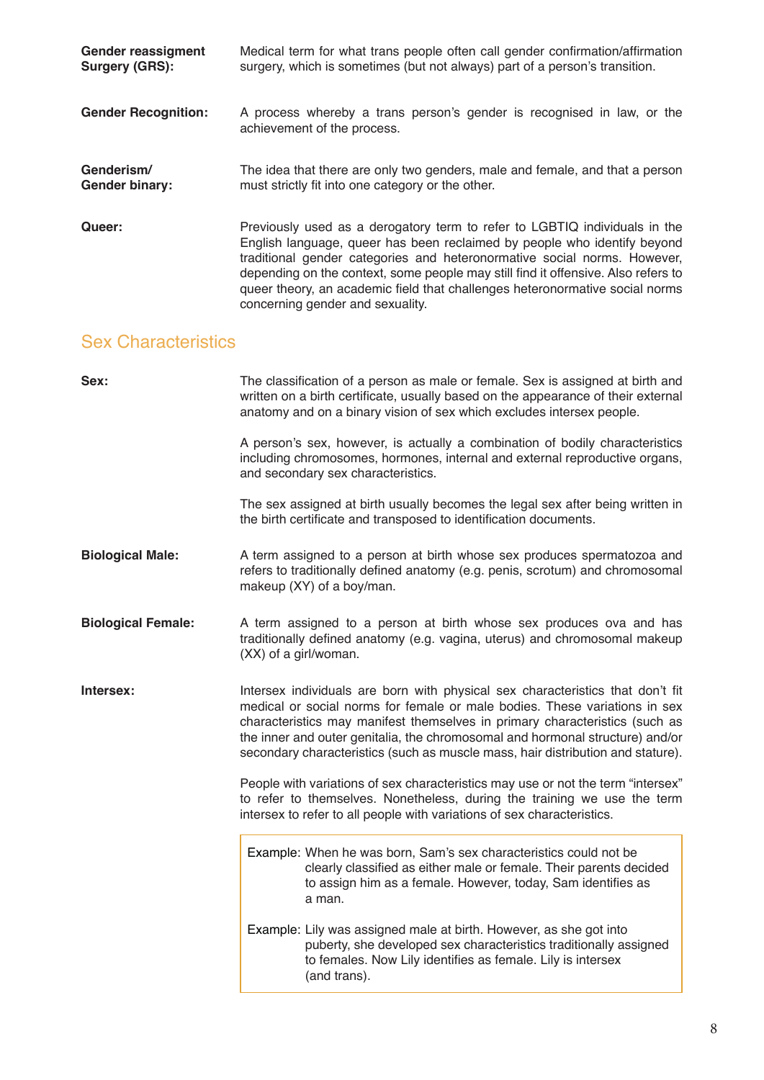| <b>Gender reassigment</b>  | Medical term for what trans people often call gender confirmation/affirmation                                                                                                                                                                                                                                                                                                                                                               |
|----------------------------|---------------------------------------------------------------------------------------------------------------------------------------------------------------------------------------------------------------------------------------------------------------------------------------------------------------------------------------------------------------------------------------------------------------------------------------------|
| Surgery (GRS):             | surgery, which is sometimes (but not always) part of a person's transition.                                                                                                                                                                                                                                                                                                                                                                 |
| <b>Gender Recognition:</b> | A process whereby a trans person's gender is recognised in law, or the<br>achievement of the process.                                                                                                                                                                                                                                                                                                                                       |
| Genderism/                 | The idea that there are only two genders, male and female, and that a person                                                                                                                                                                                                                                                                                                                                                                |
| <b>Gender binary:</b>      | must strictly fit into one category or the other.                                                                                                                                                                                                                                                                                                                                                                                           |
| Queer:                     | Previously used as a derogatory term to refer to LGBTIQ individuals in the<br>English language, queer has been reclaimed by people who identify beyond<br>traditional gender categories and heteronormative social norms. However,<br>depending on the context, some people may still find it offensive. Also refers to<br>queer theory, an academic field that challenges heteronormative social norms<br>concerning gender and sexuality. |

#### Sex Characteristics

| Sex:                      | The classification of a person as male or female. Sex is assigned at birth and<br>written on a birth certificate, usually based on the appearance of their external<br>anatomy and on a binary vision of sex which excludes intersex people.                                                                                                                                                                    |  |  |  |
|---------------------------|-----------------------------------------------------------------------------------------------------------------------------------------------------------------------------------------------------------------------------------------------------------------------------------------------------------------------------------------------------------------------------------------------------------------|--|--|--|
|                           | A person's sex, however, is actually a combination of bodily characteristics<br>including chromosomes, hormones, internal and external reproductive organs,<br>and secondary sex characteristics.                                                                                                                                                                                                               |  |  |  |
|                           | The sex assigned at birth usually becomes the legal sex after being written in<br>the birth certificate and transposed to identification documents.                                                                                                                                                                                                                                                             |  |  |  |
| <b>Biological Male:</b>   | A term assigned to a person at birth whose sex produces spermatozoa and<br>refers to traditionally defined anatomy (e.g. penis, scrotum) and chromosomal<br>makeup (XY) of a boy/man.                                                                                                                                                                                                                           |  |  |  |
| <b>Biological Female:</b> | A term assigned to a person at birth whose sex produces ova and has<br>traditionally defined anatomy (e.g. vagina, uterus) and chromosomal makeup<br>(XX) of a girl/woman.                                                                                                                                                                                                                                      |  |  |  |
| Intersex:                 | Intersex individuals are born with physical sex characteristics that don't fit<br>medical or social norms for female or male bodies. These variations in sex<br>characteristics may manifest themselves in primary characteristics (such as<br>the inner and outer genitalia, the chromosomal and hormonal structure) and/or<br>secondary characteristics (such as muscle mass, hair distribution and stature). |  |  |  |
|                           | People with variations of sex characteristics may use or not the term "intersex"<br>to refer to themselves. Nonetheless, during the training we use the term<br>intersex to refer to all people with variations of sex characteristics.                                                                                                                                                                         |  |  |  |
|                           | Example: When he was born, Sam's sex characteristics could not be<br>clearly classified as either male or female. Their parents decided<br>to assign him as a female. However, today, Sam identifies as<br>a man.                                                                                                                                                                                               |  |  |  |
|                           | Example: Lily was assigned male at birth. However, as she got into<br>puberty, she developed sex characteristics traditionally assigned<br>to females. Now Lily identifies as female. Lily is intersex<br>(and trans).                                                                                                                                                                                          |  |  |  |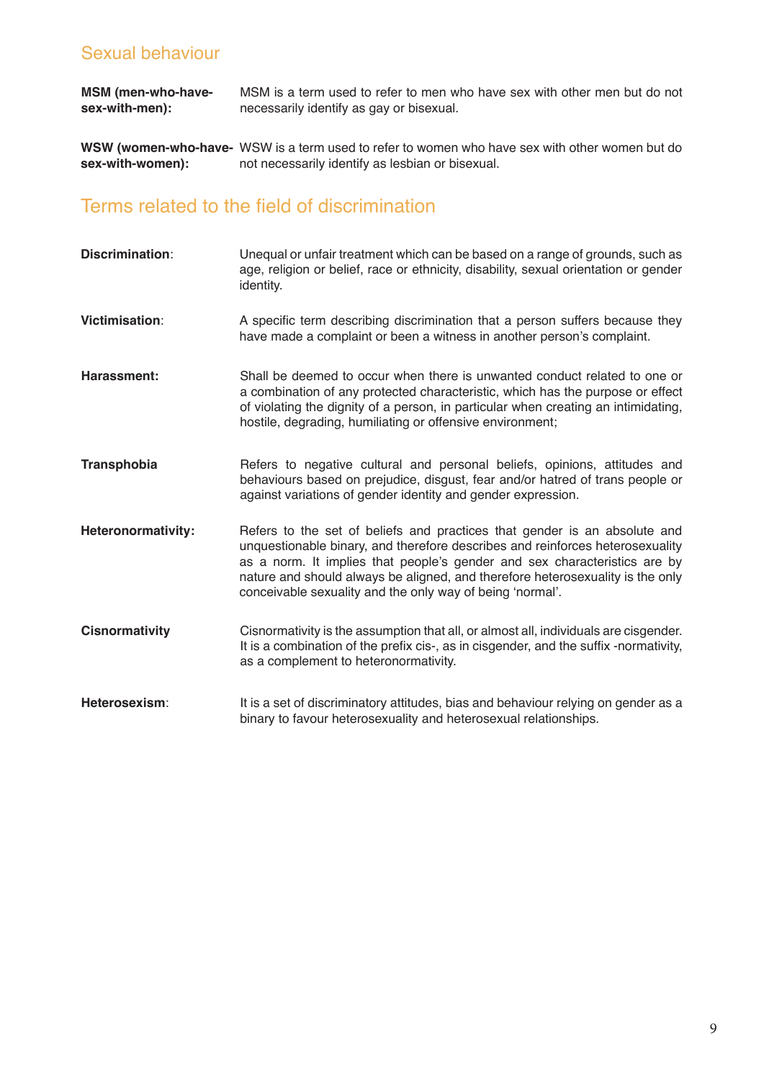#### Sexual behaviour

**MSM (men-who-havesex-with-men):**  MSM is a term used to refer to men who have sex with other men but do not necessarily identify as gay or bisexual.

**WSW (women-who-have-** WSW is a term used to refer to women who have sex with other women but do **sex-with-women):**  not necessarily identify as lesbian or bisexual.

#### Terms related to the field of discrimination

**Discrimination**: Unequal or unfair treatment which can be based on a range of grounds, such as age, religion or belief, race or ethnicity, disability, sexual orientation or gender identity. **Victimisation**: A specific term describing discrimination that a person suffers because they have made a complaint or been a witness in another person's complaint. **Harassment:** Shall be deemed to occur when there is unwanted conduct related to one or a combination of any protected characteristic, which has the purpose or effect of violating the dignity of a person, in particular when creating an intimidating, hostile, degrading, humiliating or offensive environment; **Transphobia** Refers to negative cultural and personal beliefs, opinions, attitudes and behaviours based on prejudice, disgust, fear and/or hatred of trans people or against variations of gender identity and gender expression. **Heteronormativity:** Refers to the set of beliefs and practices that gender is an absolute and unquestionable binary, and therefore describes and reinforces heterosexuality as a norm. It implies that people's gender and sex characteristics are by nature and should always be aligned, and therefore heterosexuality is the only conceivable sexuality and the only way of being 'normal'. **Cisnormativity** Cisnormativity is the assumption that all, or almost all, individuals are cisgender. It is a combination of the prefix cis-, as in cisgender, and the suffix -normativity, as a complement to heteronormativity. Heterosexism: It is a set of discriminatory attitudes, bias and behaviour relying on gender as a binary to favour heterosexuality and heterosexual relationships.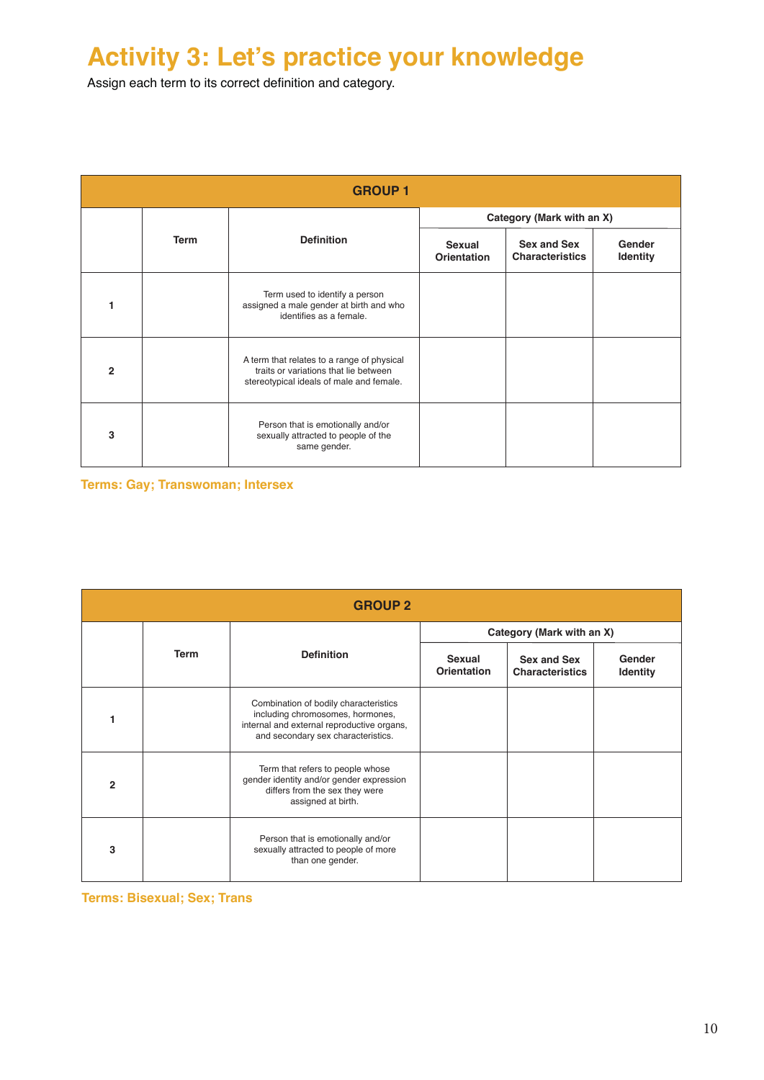### **Activity 3: Let's practice your knowledge**

Assign each term to its correct definition and category.

| <b>GROUP1</b>  |             |                                                                                                                                 |                              |                                       |                           |
|----------------|-------------|---------------------------------------------------------------------------------------------------------------------------------|------------------------------|---------------------------------------|---------------------------|
|                |             |                                                                                                                                 | Category (Mark with an X)    |                                       |                           |
|                | <b>Term</b> | <b>Definition</b>                                                                                                               | Sexual<br><b>Orientation</b> | Sex and Sex<br><b>Characteristics</b> | Gender<br><b>Identity</b> |
|                |             | Term used to identify a person<br>assigned a male gender at birth and who<br>identifies as a female.                            |                              |                                       |                           |
| $\overline{2}$ |             | A term that relates to a range of physical<br>traits or variations that lie between<br>stereotypical ideals of male and female. |                              |                                       |                           |
| 3              |             | Person that is emotionally and/or<br>sexually attracted to people of the<br>same gender.                                        |                              |                                       |                           |

**Terms: Gay; Transwoman; Intersex**

| <b>GROUP 2</b> |             |                                                                                                                                                               |                              |                                       |                           |
|----------------|-------------|---------------------------------------------------------------------------------------------------------------------------------------------------------------|------------------------------|---------------------------------------|---------------------------|
|                |             |                                                                                                                                                               | Category (Mark with an X)    |                                       |                           |
|                | <b>Term</b> | <b>Definition</b>                                                                                                                                             | Sexual<br><b>Orientation</b> | Sex and Sex<br><b>Characteristics</b> | Gender<br><b>Identity</b> |
|                |             | Combination of bodily characteristics<br>including chromosomes, hormones,<br>internal and external reproductive organs,<br>and secondary sex characteristics. |                              |                                       |                           |
| $\overline{2}$ |             | Term that refers to people whose<br>gender identity and/or gender expression<br>differs from the sex they were<br>assigned at birth.                          |                              |                                       |                           |
| 3              |             | Person that is emotionally and/or<br>sexually attracted to people of more<br>than one gender.                                                                 |                              |                                       |                           |

**Terms: Bisexual; Sex; Trans**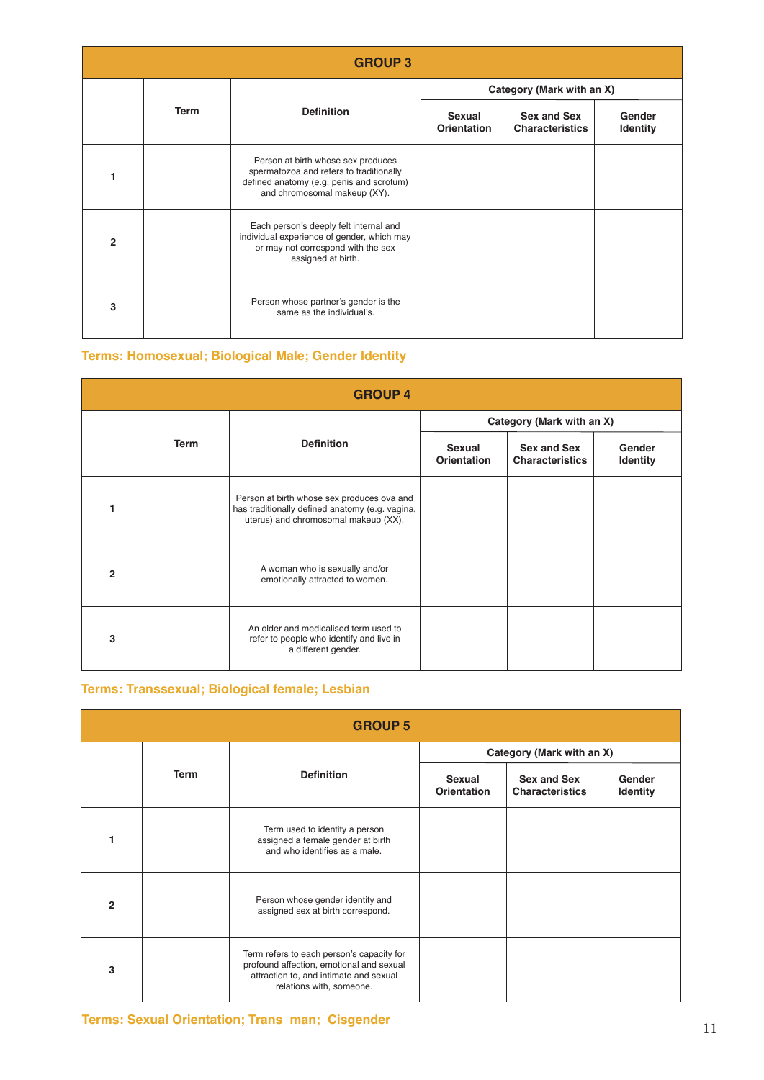| <b>GROUP 3</b> |      |                                                                                                                                                           |                           |                                       |                           |
|----------------|------|-----------------------------------------------------------------------------------------------------------------------------------------------------------|---------------------------|---------------------------------------|---------------------------|
|                |      |                                                                                                                                                           | Category (Mark with an X) |                                       |                           |
|                | Term | <b>Definition</b>                                                                                                                                         | Sexual<br>Orientation     | Sex and Sex<br><b>Characteristics</b> | Gender<br><b>Identity</b> |
|                |      | Person at birth whose sex produces<br>spermatozoa and refers to traditionally<br>defined anatomy (e.g. penis and scrotum)<br>and chromosomal makeup (XY). |                           |                                       |                           |
| $\mathbf{2}$   |      | Each person's deeply felt internal and<br>individual experience of gender, which may<br>or may not correspond with the sex<br>assigned at birth.          |                           |                                       |                           |
| 3              |      | Person whose partner's gender is the<br>same as the individual's.                                                                                         |                           |                                       |                           |

#### **Terms: Homosexual; Biological Male; Gender Identity**

| <b>GROUP 4</b> |             |                                                                                                                                       |                           |                                       |                           |
|----------------|-------------|---------------------------------------------------------------------------------------------------------------------------------------|---------------------------|---------------------------------------|---------------------------|
|                |             |                                                                                                                                       | Category (Mark with an X) |                                       |                           |
|                | <b>Term</b> | <b>Definition</b>                                                                                                                     | Sexual<br>Orientation     | Sex and Sex<br><b>Characteristics</b> | Gender<br><b>Identity</b> |
|                |             | Person at birth whose sex produces ova and<br>has traditionally defined anatomy (e.g. vagina,<br>uterus) and chromosomal makeup (XX). |                           |                                       |                           |
| $\overline{2}$ |             | A woman who is sexually and/or<br>emotionally attracted to women.                                                                     |                           |                                       |                           |
| 3              |             | An older and medicalised term used to<br>refer to people who identify and live in<br>a different gender.                              |                           |                                       |                           |

#### **Terms: Transsexual; Biological female; Lesbian**

| <b>GROUP 5</b> |             |                                                                                                                                                             |                              |                                       |                           |
|----------------|-------------|-------------------------------------------------------------------------------------------------------------------------------------------------------------|------------------------------|---------------------------------------|---------------------------|
|                |             |                                                                                                                                                             | Category (Mark with an X)    |                                       |                           |
|                | <b>Term</b> | <b>Definition</b>                                                                                                                                           | Sexual<br><b>Orientation</b> | Sex and Sex<br><b>Characteristics</b> | Gender<br><b>Identity</b> |
|                |             | Term used to identity a person<br>assigned a female gender at birth<br>and who identifies as a male.                                                        |                              |                                       |                           |
| $\overline{2}$ |             | Person whose gender identity and<br>assigned sex at birth correspond.                                                                                       |                              |                                       |                           |
| 3              |             | Term refers to each person's capacity for<br>profound affection, emotional and sexual<br>attraction to, and intimate and sexual<br>relations with, someone. |                              |                                       |                           |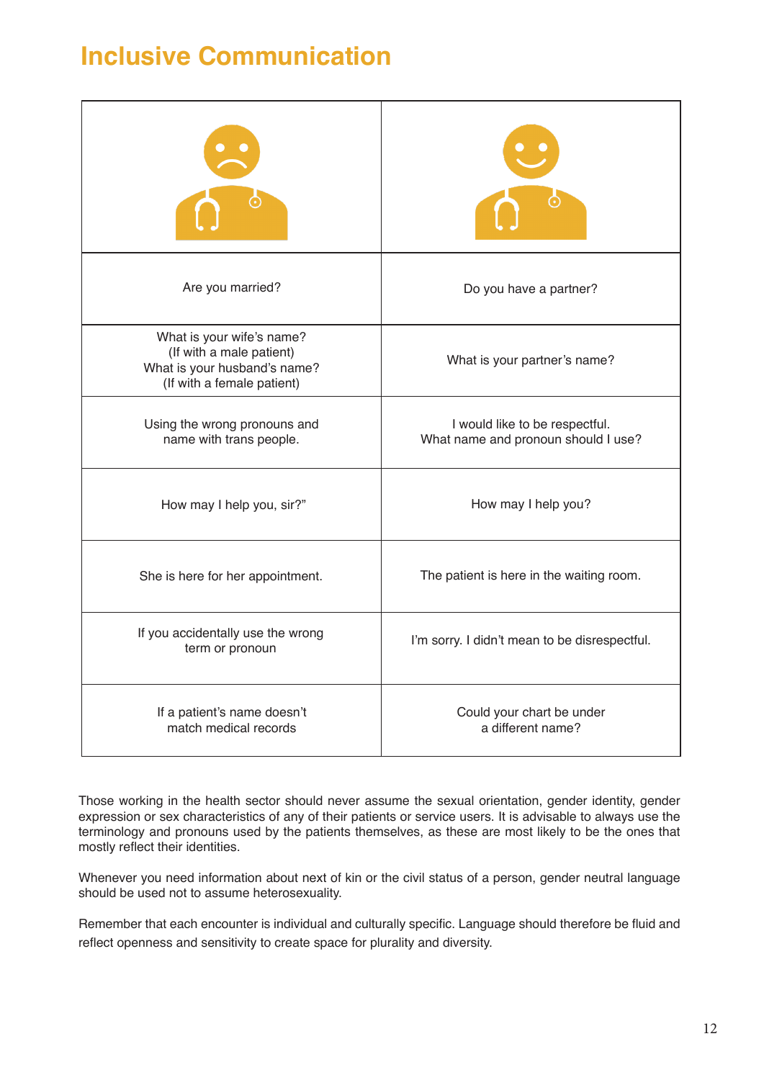### **Inclusive Communication**

| Are you married?                                                                                                    | Do you have a partner?                                                |
|---------------------------------------------------------------------------------------------------------------------|-----------------------------------------------------------------------|
| What is your wife's name?<br>(If with a male patient)<br>What is your husband's name?<br>(If with a female patient) | What is your partner's name?                                          |
| Using the wrong pronouns and<br>name with trans people.                                                             | I would like to be respectful.<br>What name and pronoun should I use? |
| How may I help you, sir?"                                                                                           | How may I help you?                                                   |
| She is here for her appointment.                                                                                    | The patient is here in the waiting room.                              |
| If you accidentally use the wrong<br>term or pronoun                                                                | I'm sorry. I didn't mean to be disrespectful.                         |
| If a patient's name doesn't<br>match medical records                                                                | Could your chart be under<br>a different name?                        |

Those working in the health sector should never assume the sexual orientation, gender identity, gender expression or sex characteristics of any of their patients or service users. It is advisable to always use the terminology and pronouns used by the patients themselves, as these are most likely to be the ones that mostly reflect their identities.

Whenever you need information about next of kin or the civil status of a person, gender neutral language should be used not to assume heterosexuality.

Remember that each encounter is individual and culturally specific. Language should therefore be fluid and reflect openness and sensitivity to create space for plurality and diversity.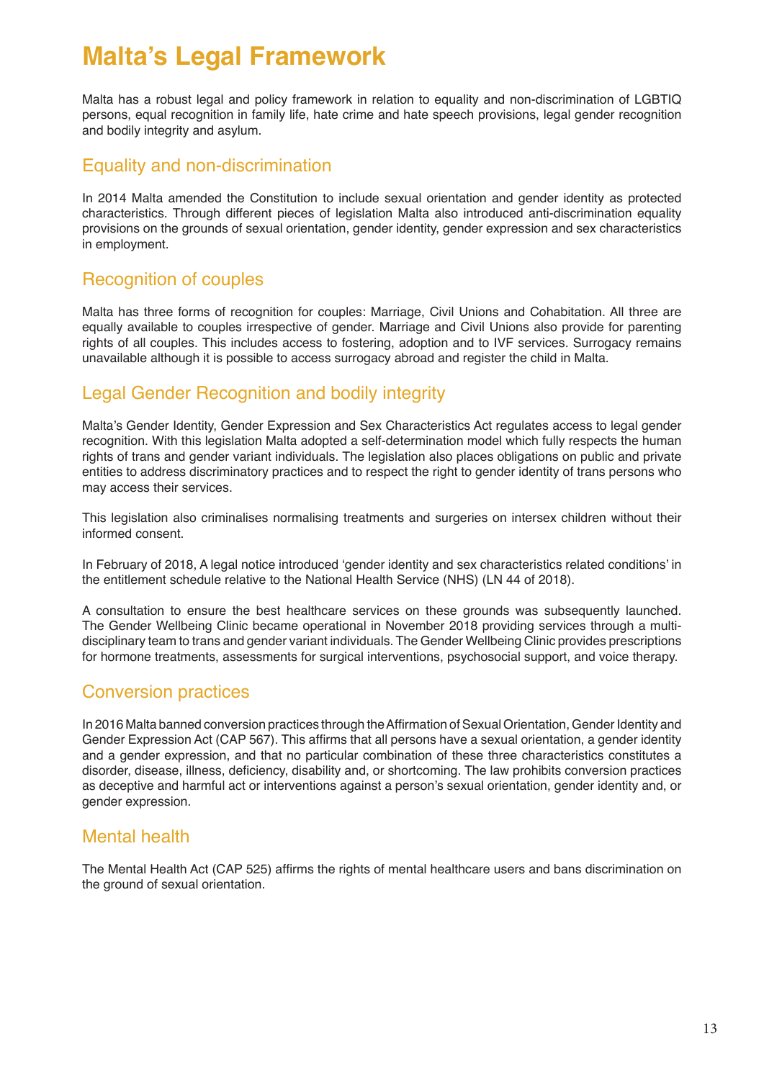### **Malta's Legal Framework**

Malta has a robust legal and policy framework in relation to equality and non-discrimination of LGBTIQ persons, equal recognition in family life, hate crime and hate speech provisions, legal gender recognition and bodily integrity and asylum.

#### Equality and non-discrimination

In 2014 Malta amended the Constitution to include sexual orientation and gender identity as protected characteristics. Through different pieces of legislation Malta also introduced anti-discrimination equality provisions on the grounds of sexual orientation, gender identity, gender expression and sex characteristics in employment.

#### Recognition of couples

Malta has three forms of recognition for couples: Marriage, Civil Unions and Cohabitation. All three are equally available to couples irrespective of gender. Marriage and Civil Unions also provide for parenting rights of all couples. This includes access to fostering, adoption and to IVF services. Surrogacy remains unavailable although it is possible to access surrogacy abroad and register the child in Malta.

#### Legal Gender Recognition and bodily integrity

Malta's Gender Identity, Gender Expression and Sex Characteristics Act regulates access to legal gender recognition. With this legislation Malta adopted a self-determination model which fully respects the human rights of trans and gender variant individuals. The legislation also places obligations on public and private entities to address discriminatory practices and to respect the right to gender identity of trans persons who may access their services.

This legislation also criminalises normalising treatments and surgeries on intersex children without their informed consent.

In February of 2018, A legal notice introduced 'gender identity and sex characteristics related conditions' in the entitlement schedule relative to the National Health Service (NHS) (LN 44 of 2018).

A consultation to ensure the best healthcare services on these grounds was subsequently launched. The Gender Wellbeing Clinic became operational in November 2018 providing services through a multidisciplinary team to trans and gender variant individuals. The Gender Wellbeing Clinic provides prescriptions for hormone treatments, assessments for surgical interventions, psychosocial support, and voice therapy.

#### Conversion practices

In 2016 Malta banned conversion practices through the Affirmation of Sexual Orientation, Gender Identity and Gender Expression Act (CAP 567). This affirms that all persons have a sexual orientation, a gender identity and a gender expression, and that no particular combination of these three characteristics constitutes a disorder, disease, illness, deficiency, disability and, or shortcoming. The law prohibits conversion practices as deceptive and harmful act or interventions against a person's sexual orientation, gender identity and, or gender expression.

#### Mental health

The Mental Health Act (CAP 525) affirms the rights of mental healthcare users and bans discrimination on the ground of sexual orientation.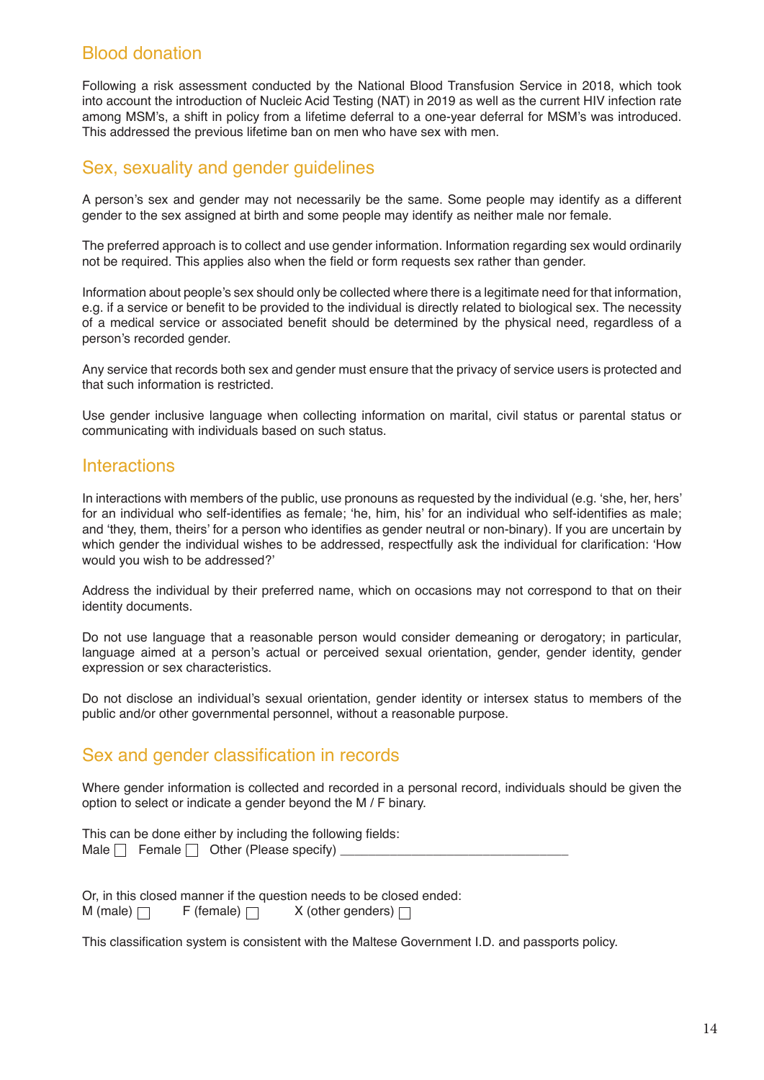#### Blood donation

Following a risk assessment conducted by the National Blood Transfusion Service in 2018, which took into account the introduction of Nucleic Acid Testing (NAT) in 2019 as well as the current HIV infection rate among MSM's, a shift in policy from a lifetime deferral to a one-year deferral for MSM's was introduced. This addressed the previous lifetime ban on men who have sex with men.

#### Sex, sexuality and gender guidelines

A person's sex and gender may not necessarily be the same. Some people may identify as a different gender to the sex assigned at birth and some people may identify as neither male nor female.

The preferred approach is to collect and use gender information. Information regarding sex would ordinarily not be required. This applies also when the field or form requests sex rather than gender.

Information about people's sex should only be collected where there is a legitimate need for that information, e.g. if a service or benefit to be provided to the individual is directly related to biological sex. The necessity of a medical service or associated benefit should be determined by the physical need, regardless of a person's recorded gender.

Any service that records both sex and gender must ensure that the privacy of service users is protected and that such information is restricted.

Use gender inclusive language when collecting information on marital, civil status or parental status or communicating with individuals based on such status.

#### **Interactions**

In interactions with members of the public, use pronouns as requested by the individual (e.g. 'she, her, hers' for an individual who self-identifies as female; 'he, him, his' for an individual who self-identifies as male; and 'they, them, theirs' for a person who identifies as gender neutral or non-binary). If you are uncertain by which gender the individual wishes to be addressed, respectfully ask the individual for clarification: 'How would you wish to be addressed?'

Address the individual by their preferred name, which on occasions may not correspond to that on their identity documents.

Do not use language that a reasonable person would consider demeaning or derogatory; in particular, language aimed at a person's actual or perceived sexual orientation, gender, gender identity, gender expression or sex characteristics.

Do not disclose an individual's sexual orientation, gender identity or intersex status to members of the public and/or other governmental personnel, without a reasonable purpose.

#### Sex and gender classification in records

Where gender information is collected and recorded in a personal record, individuals should be given the option to select or indicate a gender beyond the M / F binary.

This can be done either by including the following fields: Male  $\Box$  Female  $\Box$  Other (Please specify)

Or, in this closed manner if the question needs to be closed ended:<br>M (male)  $\Box$  F (female)  $\Box$  X (other genders)  $\Box$ M (male)  $\Box$  F (female)  $\Box$  X (other genders)  $\Box$ 

This classification system is consistent with the Maltese Government I.D. and passports policy.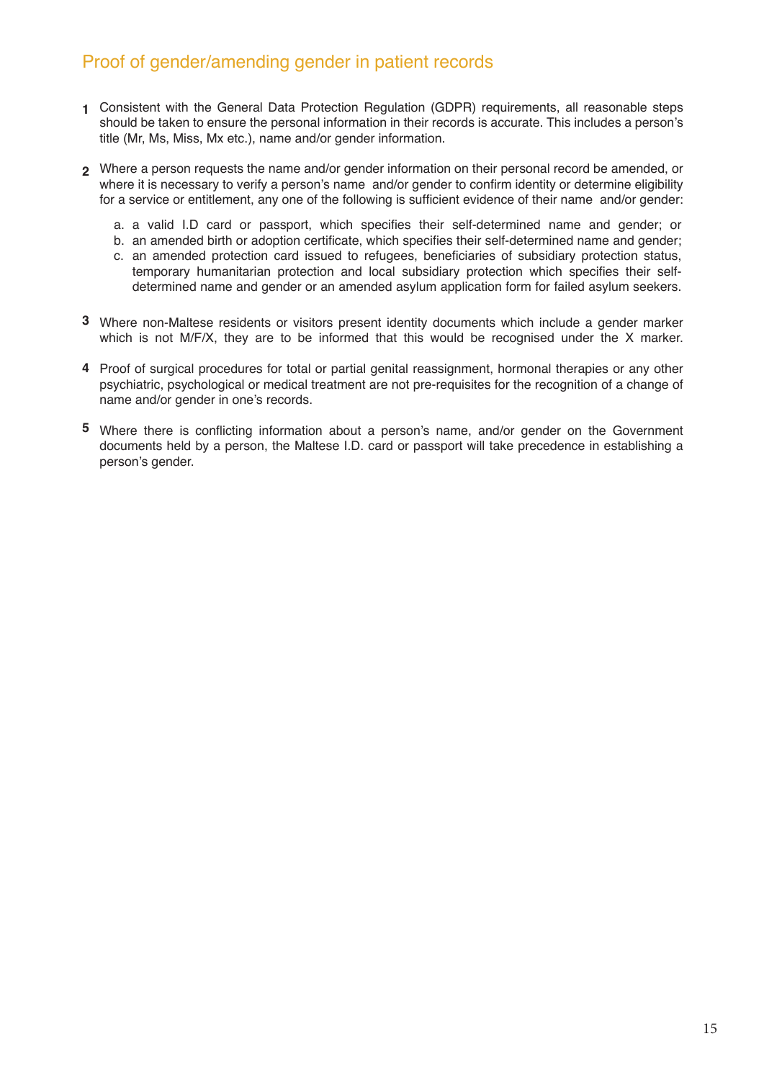#### Proof of gender/amending gender in patient records

- **1** Consistent with the General Data Protection Regulation (GDPR) requirements, all reasonable steps should be taken to ensure the personal information in their records is accurate. This includes a person's title (Mr, Ms, Miss, Mx etc.), name and/or gender information.
- **2** Where a person requests the name and/or gender information on their personal record be amended, or where it is necessary to verify a person's name and/or gender to confirm identity or determine eligibility for a service or entitlement, any one of the following is sufficient evidence of their name and/or gender:
	- a valid I.D card or passport, which specifies their self-determined name and gender; or a.
	- b. an amended birth or adoption certificate, which specifies their self-determined name and gender; c. an amended protection card issued to refugees, beneficiaries of subsidiary protection status, temporary humanitarian protection and local subsidiary protection which specifies their selfdetermined name and gender or an amended asylum application form for failed asylum seekers.
- **3** Where non-Maltese residents or visitors present identity documents which include a gender marker which is not M/F/X, they are to be informed that this would be recognised under the X marker.
- **4** Proof of surgical procedures for total or partial genital reassignment, hormonal therapies or any other psychiatric, psychological or medical treatment are not pre-requisites for the recognition of a change of name and/or gender in one's records.
- **5** Where there is conflicting information about a person's name, and/or gender on the Government documents held by a person, the Maltese I.D. card or passport will take precedence in establishing a person's gender.